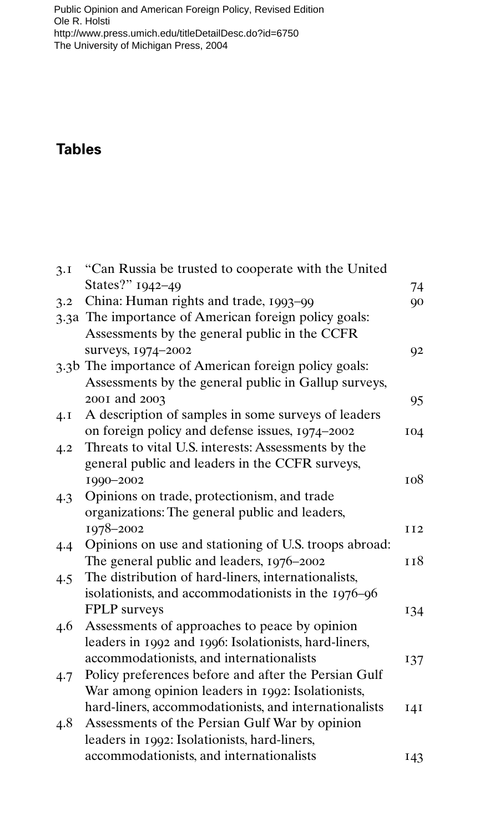[Public Opinion and American Foreign Policy, Revised Edition](http://www.press.umich.edu/titleDetailDesc.do?id=6750)  Ole R. Holsti http://www.press.umich.edu/titleDetailDesc.do?id=6750 The University of Michigan Press, 2004

## **Tables**

| 3.1 | "Can Russia be trusted to cooperate with the United                                                           |                 |
|-----|---------------------------------------------------------------------------------------------------------------|-----------------|
|     | States?" 1942-49                                                                                              | 74              |
| 3.2 | China: Human rights and trade, 1993-99                                                                        | 90              |
|     | 3.3a The importance of American foreign policy goals:                                                         |                 |
|     | Assessments by the general public in the CCFR                                                                 |                 |
|     | surveys, 1974-2002                                                                                            | 92              |
|     | 3.3b The importance of American foreign policy goals:<br>Assessments by the general public in Gallup surveys, |                 |
|     | 2001 and 2003                                                                                                 | 95              |
| 4.1 | A description of samples in some surveys of leaders                                                           |                 |
|     | on foreign policy and defense issues, 1974-2002                                                               | 104             |
| 4.2 | Threats to vital U.S. interests: Assessments by the                                                           |                 |
|     | general public and leaders in the CCFR surveys,                                                               |                 |
|     | 1990-2002                                                                                                     | 108             |
| 4.3 | Opinions on trade, protectionism, and trade                                                                   |                 |
|     | organizations: The general public and leaders,                                                                |                 |
|     | 1978-2002                                                                                                     | II <sub>2</sub> |
| 4.4 | Opinions on use and stationing of U.S. troops abroad:                                                         |                 |
|     | The general public and leaders, 1976–2002                                                                     | 118             |
| 4.5 | The distribution of hard-liners, internationalists,                                                           |                 |
|     | isolationists, and accommodationists in the 1976-96                                                           |                 |
|     | FPLP surveys                                                                                                  | 134             |
| 4.6 | Assessments of approaches to peace by opinion                                                                 |                 |
|     | leaders in 1992 and 1996: Isolationists, hard-liners,                                                         |                 |
|     | accommodationists, and internationalists                                                                      | 137             |
| 4.7 | Policy preferences before and after the Persian Gulf                                                          |                 |
|     | War among opinion leaders in 1992: Isolationists,                                                             |                 |
|     | hard-liners, accommodationists, and internationalists                                                         | <b>141</b>      |
| 4.8 | Assessments of the Persian Gulf War by opinion                                                                |                 |
|     | leaders in 1992: Isolationists, hard-liners,                                                                  |                 |
|     | accommodationists, and internationalists                                                                      | 143             |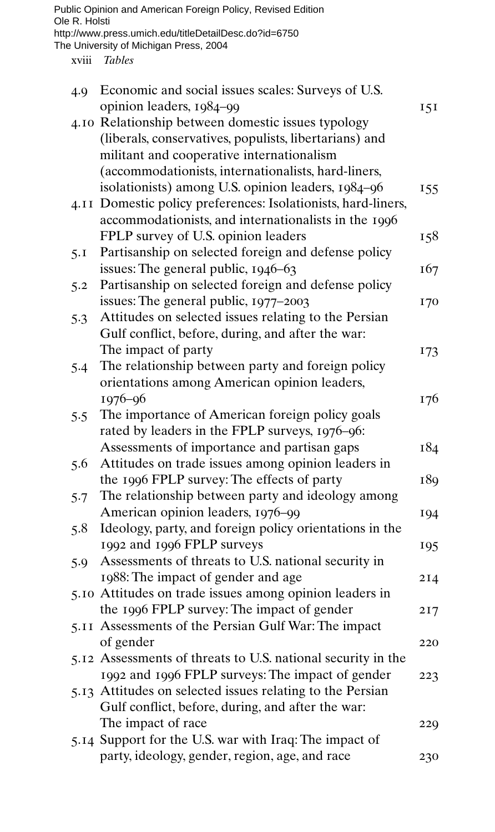| Ole R. Holsti | Public Opinion and American Foreign Policy, Revised Edition<br>http://www.press.umich.edu/titleDetailDesc.do?id=6750                                                        |     |
|---------------|-----------------------------------------------------------------------------------------------------------------------------------------------------------------------------|-----|
|               | The University of Michigan Press, 2004                                                                                                                                      |     |
| xviii         | <b>Tables</b>                                                                                                                                                               |     |
| 4.9           | Economic and social issues scales: Surveys of U.S.<br>opinion leaders, 1984-99                                                                                              | 15I |
|               | 4.10 Relationship between domestic issues typology<br>(liberals, conservatives, populists, libertarians) and                                                                |     |
|               | militant and cooperative internationalism<br>(accommodationists, internationalists, hard-liners,                                                                            |     |
|               | isolationists) among U.S. opinion leaders, 1984-96<br>4.11 Domestic policy preferences: Isolationists, hard-liners,<br>accommodationists, and internationalists in the 1996 | 155 |
|               | FPLP survey of U.S. opinion leaders                                                                                                                                         | 158 |
| 5.1           | Partisanship on selected foreign and defense policy<br>issues: The general public, 1946-63                                                                                  | 167 |
| 5.2           | Partisanship on selected foreign and defense policy<br>issues: The general public, 1977–2003                                                                                | 170 |
| 5.3           | Attitudes on selected issues relating to the Persian<br>Gulf conflict, before, during, and after the war:                                                                   |     |
| 5.4           | The impact of party<br>The relationship between party and foreign policy<br>orientations among American opinion leaders,                                                    | 173 |
| 5.5           | $1976 - 96$<br>The importance of American foreign policy goals                                                                                                              | 176 |
|               | rated by leaders in the FPLP surveys, 1976-96:<br>Assessments of importance and partisan gaps                                                                               | 184 |
| 5.6           | Attitudes on trade issues among opinion leaders in<br>the 1996 FPLP survey: The effects of party                                                                            | 189 |
| 5.7           | The relationship between party and ideology among<br>American opinion leaders, 1976-99                                                                                      | 194 |
| 5.8           | Ideology, party, and foreign policy orientations in the<br>1992 and 1996 FPLP surveys                                                                                       | 195 |
| 5.9           | Assessments of threats to U.S. national security in<br>1988: The impact of gender and age                                                                                   | 2I4 |
|               | 5.10 Attitudes on trade issues among opinion leaders in                                                                                                                     |     |
|               | the 1996 FPLP survey: The impact of gender<br>5.11 Assessments of the Persian Gulf War: The impact                                                                          | 217 |
|               | of gender<br>5.12 Assessments of threats to U.S. national security in the                                                                                                   | 220 |
|               | 1992 and 1996 FPLP surveys: The impact of gender<br>5.13 Attitudes on selected issues relating to the Persian                                                               | 223 |
|               | Gulf conflict, before, during, and after the war:                                                                                                                           |     |
|               | The impact of race<br>5.14 Support for the U.S. war with Iraq: The impact of                                                                                                | 229 |
|               | party, ideology, gender, region, age, and race                                                                                                                              | 230 |